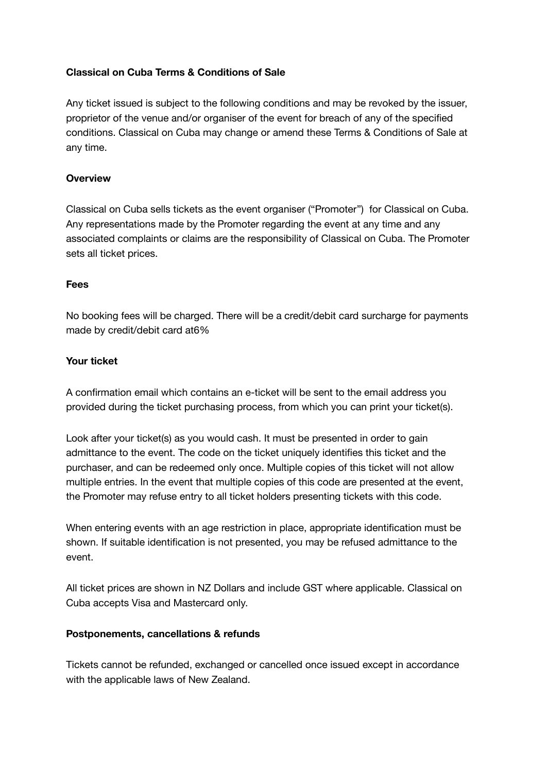## **Classical on Cuba Terms & Conditions of Sale**

Any ticket issued is subject to the following conditions and may be revoked by the issuer, proprietor of the venue and/or organiser of the event for breach of any of the specified conditions. Classical on Cuba may change or amend these Terms & Conditions of Sale at any time.

### **Overview**

Classical on Cuba sells tickets as the event organiser ("Promoter") for Classical on Cuba. Any representations made by the Promoter regarding the event at any time and any associated complaints or claims are the responsibility of Classical on Cuba. The Promoter sets all ticket prices.

### **Fees**

No booking fees will be charged. There will be a credit/debit card surcharge for payments made by credit/debit card at6%

### **Your ticket**

A confirmation email which contains an e-ticket will be sent to the email address you provided during the ticket purchasing process, from which you can print your ticket(s).

Look after your ticket(s) as you would cash. It must be presented in order to gain admittance to the event. The code on the ticket uniquely identifies this ticket and the purchaser, and can be redeemed only once. Multiple copies of this ticket will not allow multiple entries. In the event that multiple copies of this code are presented at the event, the Promoter may refuse entry to all ticket holders presenting tickets with this code.

When entering events with an age restriction in place, appropriate identification must be shown. If suitable identification is not presented, you may be refused admittance to the event.

All ticket prices are shown in NZ Dollars and include GST where applicable. Classical on Cuba accepts Visa and Mastercard only.

### **Postponements, cancellations & refunds**

Tickets cannot be refunded, exchanged or cancelled once issued except in accordance with the applicable laws of New Zealand.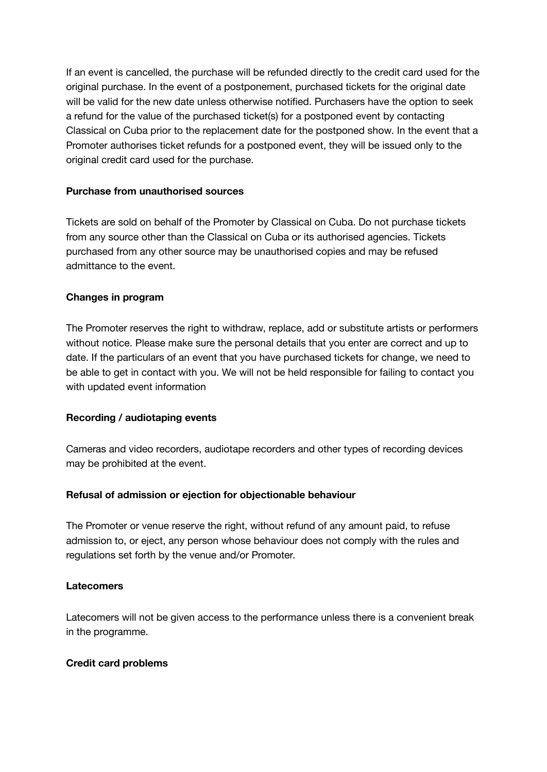If an event is cancelled, the purchase will be refunded directly to the credit card used for the original purchase. In the event of a postponement, purchased tickets for the original date will be valid for the new date unless otherwise notified. Purchasers have the option to seek a refund for the value of the purchased ticket(s) for a postponed event by contacting Classical on Cuba prior to the replacement date for the postponed show. In the event that a Promoter authorises ticket refunds for a postponed event, they will be issued only to the original credit card used for the purchase.

## **Purchase from unauthorised sources**

Tickets are sold on behalf of the Promoter by Classical on Cuba. Do not purchase tickets from any source other than the Classical on Cuba or its authorised agencies. Tickets purchased from any other source may be unauthorised copies and may be refused admittance to the event.

### **Changes in program**

The Promoter reserves the right to withdraw, replace, add or substitute artists or performers without notice. Please make sure the personal details that you enter are correct and up to date. If the particulars of an event that you have purchased tickets for change, we need to be able to get in contact with you. We will not be held responsible for failing to contact you with updated event information

### **Recording / audiotaping events**

Cameras and video recorders, audiotape recorders and other types of recording devices may be prohibited at the event.

# **Refusal of admission or ejection for objectionable behaviour**

The Promoter or venue reserve the right, without refund of any amount paid, to refuse admission to, or eject, any person whose behaviour does not comply with the rules and regulations set forth by the venue and/or Promoter.

### **Latecomers**

Latecomers will not be given access to the performance unless there is a convenient break in the programme.

### **Credit card problems**